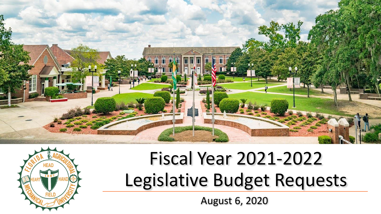



# Fiscal Year 2021-2022 Legislative Budget Requests

August 6, 2020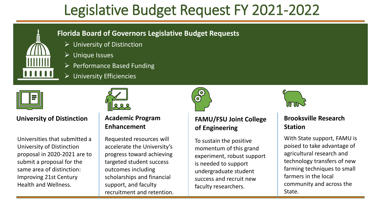

#### **Florida Board of Governors Legislative Budget Requests**

- $\triangleright$  University of Distinction
- ➢ Unique Issues
- $\triangleright$  Performance Based Funding
- $\triangleright$  University Efficiencies



#### **University of Distinction**

Universities that submitted a University of Distinction proposal in 2020-2021 are to submit a proposal for the same area of distinction: Improving 21st Century Health and Wellness.



#### **Academic Program Enhancement**

Requested resources will accelerate the University's progress toward achieving targeted student success outcomes including scholarships and financial support, and faculty recruitment and retention.



To sustain the positive momentum of this grand experiment, robust support is needed to support undergraduate student success and recruit new faculty researchers.



#### **Brooksville Research Station**

With State support, FAMU is poised to take advantage of agricultural research and technology transfers of new farming techniques to small farmers in the local community and across the State.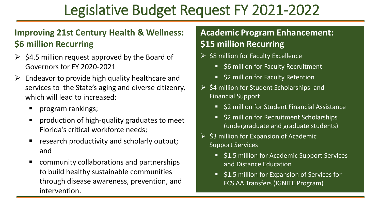### **Improving 21st Century Health & Wellness: \$6 million Recurring**

- $\geq$  \$4.5 million request approved by the Board of Governors for FY 2020-2021
- $\triangleright$  Endeavor to provide high quality healthcare and services to the State's aging and diverse citizenry, which will lead to increased:
	- program rankings;
	- production of high-quality graduates to meet Florida's critical workforce needs;
	- research productivity and scholarly output; and
	- community collaborations and partnerships to build healthy sustainable communities through disease awareness, prevention, and intervention.

### **Academic Program Enhancement: \$15 million Recurring**

- ➢ \$8 million for Faculty Excellence
	- \$6 million for Faculty Recruitment
	- \$2 million for Faculty Retention
- $\triangleright$  \$4 million for Student Scholarships and Financial Support
	- \$2 million for Student Financial Assistance
	- \$2 million for Recruitment Scholarships (undergraduate and graduate students)
- $\triangleright$  \$3 million for Expansion of Academic Support Services
	- \$1.5 million for Academic Support Services and Distance Education
	- \$1.5 million for Expansion of Services for FCS AA Transfers (IGNITE Program)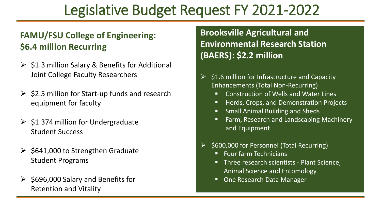### **FAMU/FSU College of Engineering: \$6.4 million Recurring**

- $\triangleright$  \$1.3 million Salary & Benefits for Additional Joint College Faculty Researchers
- $\geq$  \$2.5 million for Start-up funds and research equipment for faculty
- $\geq$  \$1.374 million for Undergraduate Student Success
- $\geq$  \$641,000 to Strengthen Graduate Student Programs
- $\geq$  \$696,000 Salary and Benefits for Retention and Vitality

**Brooksville Agricultural and Environmental Research Station (BAERS): \$2.2 million**

- $\geq$  \$1.6 million for Infrastructure and Capacity Enhancements (Total Non-Recurring)
	- Construction of Wells and Water Lines
	- Herds, Crops, and Demonstration Projects
	- Small Animal Building and Sheds
	- Farm, Research and Landscaping Machinery and Equipment
- ➢ \$600,000 for Personnel (Total Recurring)
	- **Four farm Technicians**
	- **Three research scientists Plant Science,** Animal Science and Entomology
	- One Research Data Manager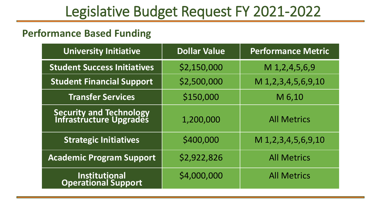### **Performance Based Funding**

| <b>University Initiative</b>                               | <b>Dollar Value</b> | <b>Performance Metric</b> |
|------------------------------------------------------------|---------------------|---------------------------|
| <b>Student Success Initiatives</b>                         | \$2,150,000         | $M$ 1,2,4,5,6,9           |
| <b>Student Financial Support</b>                           | \$2,500,000         | M 1,2,3,4,5,6,9,10        |
| <b>Transfer Services</b>                                   | \$150,000           | M 6,10                    |
| <b>Security and Technology<br/>Infrastructure Upgrades</b> | 1,200,000           | <b>All Metrics</b>        |
| <b>Strategic Initiatives</b>                               | \$400,000           | M 1, 2, 3, 4, 5, 6, 9, 10 |
| <b>Academic Program Support</b>                            | \$2,922,826         | <b>All Metrics</b>        |
| <b>Institutional</b><br><b>Operational Support</b>         | \$4,000,000         | <b>All Metrics</b>        |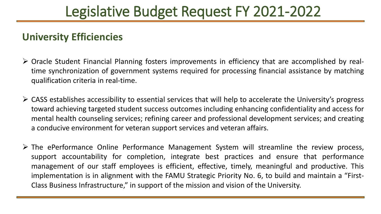### **University Efficiencies**

- ➢ Oracle Student Financial Planning fosters improvements in efficiency that are accomplished by realtime synchronization of government systems required for processing financial assistance by matching qualification criteria in real-time.
- $\triangleright$  CASS establishes accessibility to essential services that will help to accelerate the University's progress toward achieving targeted student success outcomes including enhancing confidentiality and access for mental health counseling services; refining career and professional development services; and creating a conducive environment for veteran support services and veteran affairs.
- ➢ The ePerformance Online Performance Management System will streamline the review process, support accountability for completion, integrate best practices and ensure that performance management of our staff employees is efficient, effective, timely, meaningful and productive. This implementation is in alignment with the FAMU Strategic Priority No. 6, to build and maintain a "First-Class Business Infrastructure," in support of the mission and vision of the University.